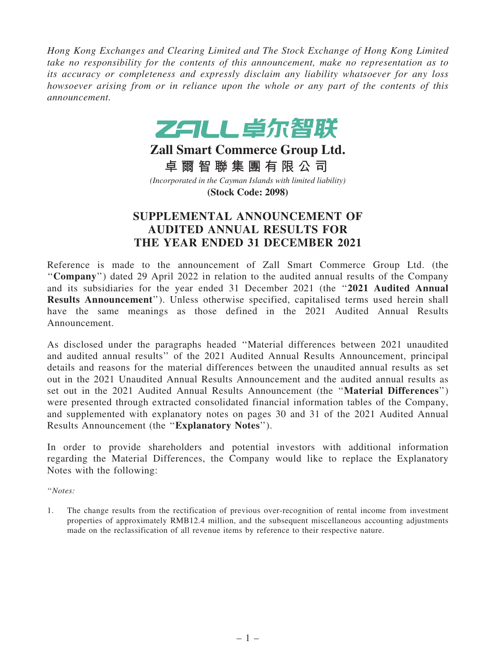*Hong Kong Exchanges and Clearing Limited and The Stock Exchange of Hong Kong Limited take no responsibility for the contents of this announcement, make no representation as to its accuracy or completeness and expressly disclaim any liability whatsoever for any loss howsoever arising from or in reliance upon the whole or any part of the contents of this announcement.*



**Zall Smart Commerce Group Ltd. 卓 爾 智 聯 集 團 有 限 公 司** *(Incorporated in the Cayman Islands with limited liability)* **(Stock Code: 2098)**

## SUPPLEMENTAL ANNOUNCEMENT OF AUDITED ANNUAL RESULTS FOR THE YEAR ENDED 31 DECEMBER 2021

Reference is made to the announcement of Zall Smart Commerce Group Ltd. (the ''Company'') dated 29 April 2022 in relation to the audited annual results of the Company and its subsidiaries for the year ended 31 December 2021 (the ''2021 Audited Annual Results Announcement''). Unless otherwise specified, capitalised terms used herein shall have the same meanings as those defined in the 2021 Audited Annual Results Announcement.

As disclosed under the paragraphs headed ''Material differences between 2021 unaudited and audited annual results'' of the 2021 Audited Annual Results Announcement, principal details and reasons for the material differences between the unaudited annual results as set out in the 2021 Unaudited Annual Results Announcement and the audited annual results as set out in the 2021 Audited Annual Results Announcement (the ''Material Differences'') were presented through extracted consolidated financial information tables of the Company, and supplemented with explanatory notes on pages 30 and 31 of the 2021 Audited Annual Results Announcement (the ''Explanatory Notes'').

In order to provide shareholders and potential investors with additional information regarding the Material Differences, the Company would like to replace the Explanatory Notes with the following:

''*Notes:*

1. The change results from the rectification of previous over-recognition of rental income from investment properties of approximately RMB12.4 million, and the subsequent miscellaneous accounting adjustments made on the reclassification of all revenue items by reference to their respective nature.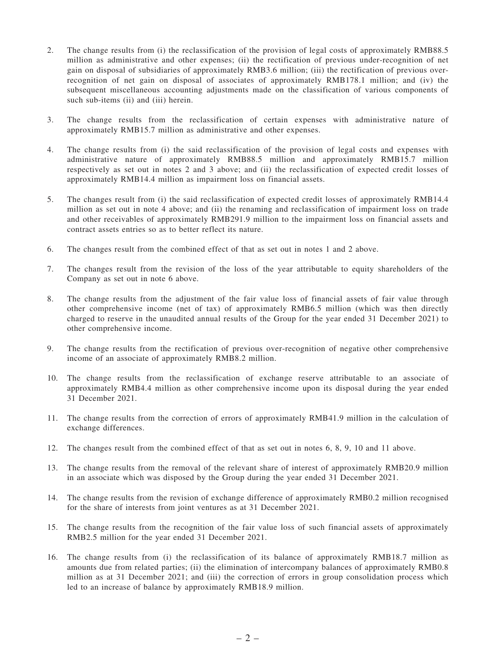- 2. The change results from (i) the reclassification of the provision of legal costs of approximately RMB88.5 million as administrative and other expenses; (ii) the rectification of previous under-recognition of net gain on disposal of subsidiaries of approximately RMB3.6 million; (iii) the rectification of previous overrecognition of net gain on disposal of associates of approximately RMB178.1 million; and (iv) the subsequent miscellaneous accounting adjustments made on the classification of various components of such sub-items (ii) and (iii) herein.
- 3. The change results from the reclassification of certain expenses with administrative nature of approximately RMB15.7 million as administrative and other expenses.
- 4. The change results from (i) the said reclassification of the provision of legal costs and expenses with administrative nature of approximately RMB88.5 million and approximately RMB15.7 million respectively as set out in notes 2 and 3 above; and (ii) the reclassification of expected credit losses of approximately RMB14.4 million as impairment loss on financial assets.
- 5. The changes result from (i) the said reclassification of expected credit losses of approximately RMB14.4 million as set out in note 4 above; and (ii) the renaming and reclassification of impairment loss on trade and other receivables of approximately RMB291.9 million to the impairment loss on financial assets and contract assets entries so as to better reflect its nature.
- 6. The changes result from the combined effect of that as set out in notes 1 and 2 above.
- 7. The changes result from the revision of the loss of the year attributable to equity shareholders of the Company as set out in note 6 above.
- 8. The change results from the adjustment of the fair value loss of financial assets of fair value through other comprehensive income (net of tax) of approximately RMB6.5 million (which was then directly charged to reserve in the unaudited annual results of the Group for the year ended 31 December 2021) to other comprehensive income.
- 9. The change results from the rectification of previous over-recognition of negative other comprehensive income of an associate of approximately RMB8.2 million.
- 10. The change results from the reclassification of exchange reserve attributable to an associate of approximately RMB4.4 million as other comprehensive income upon its disposal during the year ended 31 December 2021.
- 11. The change results from the correction of errors of approximately RMB41.9 million in the calculation of exchange differences.
- 12. The changes result from the combined effect of that as set out in notes 6, 8, 9, 10 and 11 above.
- 13. The change results from the removal of the relevant share of interest of approximately RMB20.9 million in an associate which was disposed by the Group during the year ended 31 December 2021.
- 14. The change results from the revision of exchange difference of approximately RMB0.2 million recognised for the share of interests from joint ventures as at 31 December 2021.
- 15. The change results from the recognition of the fair value loss of such financial assets of approximately RMB2.5 million for the year ended 31 December 2021.
- 16. The change results from (i) the reclassification of its balance of approximately RMB18.7 million as amounts due from related parties; (ii) the elimination of intercompany balances of approximately RMB0.8 million as at 31 December 2021; and (iii) the correction of errors in group consolidation process which led to an increase of balance by approximately RMB18.9 million.